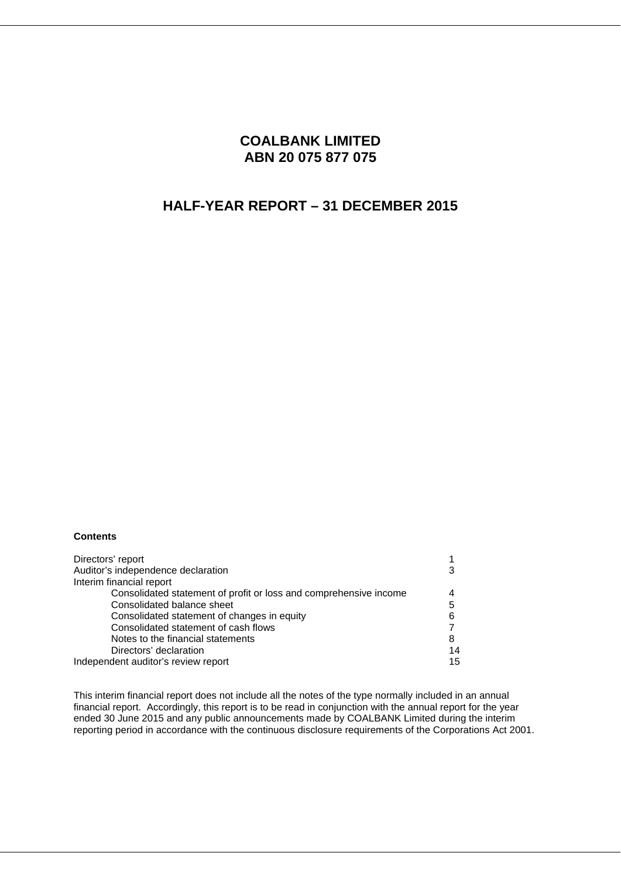# **COALBANK LIMITED ABN 20 075 877 075**

# **HALF-YEAR REPORT – 31 DECEMBER 2015**

### **Contents**

| Directors' report                                                 |    |
|-------------------------------------------------------------------|----|
| Auditor's independence declaration                                |    |
| Interim financial report                                          |    |
| Consolidated statement of profit or loss and comprehensive income |    |
| Consolidated balance sheet                                        | 5  |
| Consolidated statement of changes in equity                       |    |
| Consolidated statement of cash flows                              |    |
| Notes to the financial statements                                 | 8  |
| Directors' declaration                                            | 14 |
| Independent auditor's review report                               | 15 |

This interim financial report does not include all the notes of the type normally included in an annual financial report. Accordingly, this report is to be read in conjunction with the annual report for the year ended 30 June 2015 and any public announcements made by COALBANK Limited during the interim reporting period in accordance with the continuous disclosure requirements of the Corporations Act 2001.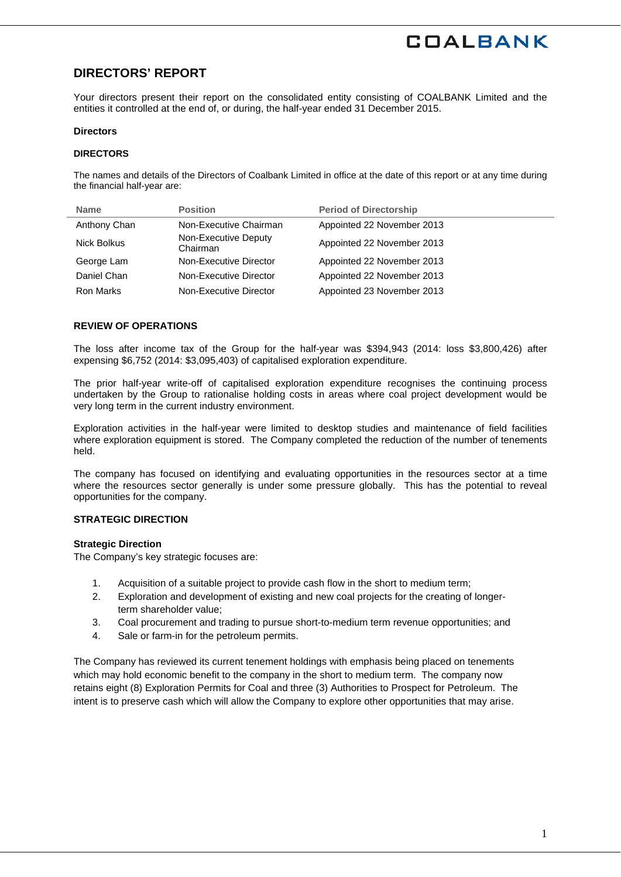# **DIRECTORS' REPORT**

Your directors present their report on the consolidated entity consisting of COALBANK Limited and the entities it controlled at the end of, or during, the half-year ended 31 December 2015.

#### **Directors**

### **DIRECTORS**

The names and details of the Directors of Coalbank Limited in office at the date of this report or at any time during the financial half-year are:

| <b>Name</b>  | <b>Position</b>                  | <b>Period of Directorship</b> |
|--------------|----------------------------------|-------------------------------|
| Anthony Chan | Non-Executive Chairman           | Appointed 22 November 2013    |
| Nick Bolkus  | Non-Executive Deputy<br>Chairman | Appointed 22 November 2013    |
| George Lam   | Non-Executive Director           | Appointed 22 November 2013    |
| Daniel Chan  | Non-Executive Director           | Appointed 22 November 2013    |
| Ron Marks    | Non-Executive Director           | Appointed 23 November 2013    |

### **REVIEW OF OPERATIONS**

The loss after income tax of the Group for the half-year was \$394,943 (2014: loss \$3,800,426) after expensing \$6,752 (2014: \$3,095,403) of capitalised exploration expenditure.

The prior half-year write-off of capitalised exploration expenditure recognises the continuing process undertaken by the Group to rationalise holding costs in areas where coal project development would be very long term in the current industry environment.

Exploration activities in the half-year were limited to desktop studies and maintenance of field facilities where exploration equipment is stored. The Company completed the reduction of the number of tenements held.

The company has focused on identifying and evaluating opportunities in the resources sector at a time where the resources sector generally is under some pressure globally. This has the potential to reveal opportunities for the company.

### **STRATEGIC DIRECTION**

### **Strategic Direction**

The Company's key strategic focuses are:

- 1. Acquisition of a suitable project to provide cash flow in the short to medium term;
- 2. Exploration and development of existing and new coal projects for the creating of longerterm shareholder value;
- 3. Coal procurement and trading to pursue short-to-medium term revenue opportunities; and
- 4. Sale or farm-in for the petroleum permits.

The Company has reviewed its current tenement holdings with emphasis being placed on tenements which may hold economic benefit to the company in the short to medium term. The company now retains eight (8) Exploration Permits for Coal and three (3) Authorities to Prospect for Petroleum. The intent is to preserve cash which will allow the Company to explore other opportunities that may arise.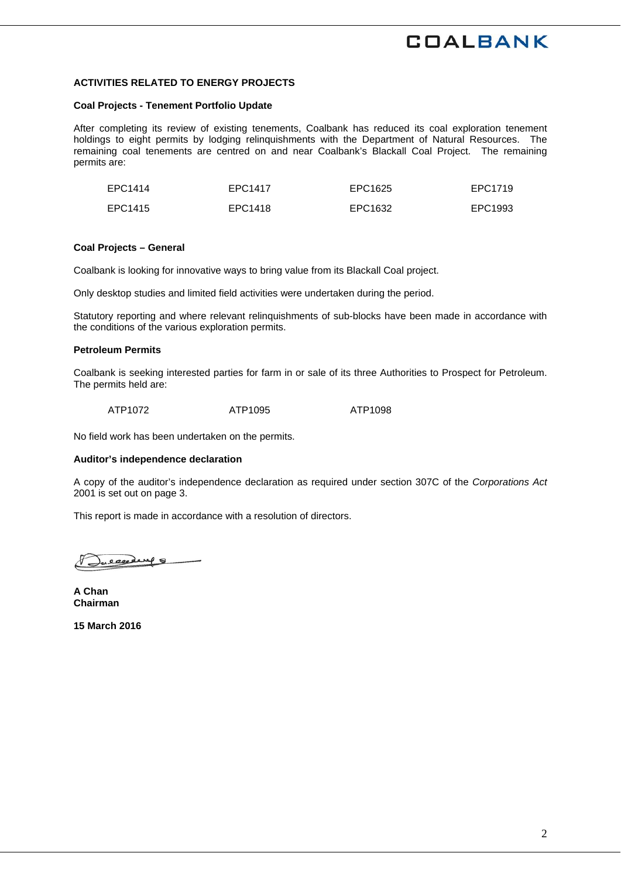### **ACTIVITIES RELATED TO ENERGY PROJECTS**

#### **Coal Projects - Tenement Portfolio Update**

After completing its review of existing tenements, Coalbank has reduced its coal exploration tenement holdings to eight permits by lodging relinquishments with the Department of Natural Resources. The remaining coal tenements are centred on and near Coalbank's Blackall Coal Project. The remaining permits are:

| EPC1414 | EPC1417 | EPC1625 | EPC1719 |
|---------|---------|---------|---------|
| EPC1415 | EPC1418 | EPC1632 | EPC1993 |

#### **Coal Projects – General**

Coalbank is looking for innovative ways to bring value from its Blackall Coal project.

Only desktop studies and limited field activities were undertaken during the period.

Statutory reporting and where relevant relinquishments of sub-blocks have been made in accordance with the conditions of the various exploration permits.

#### **Petroleum Permits**

Coalbank is seeking interested parties for farm in or sale of its three Authorities to Prospect for Petroleum. The permits held are:

ATP1072 ATP1095 ATP1098

No field work has been undertaken on the permits.

#### **Auditor's independence declaration**

A copy of the auditor's independence declaration as required under section 307C of the *Corporations Act*  2001 is set out on page 3.

This report is made in accordance with a resolution of directors.

wearding 8

**A Chan Chairman** 

**15 March 2016**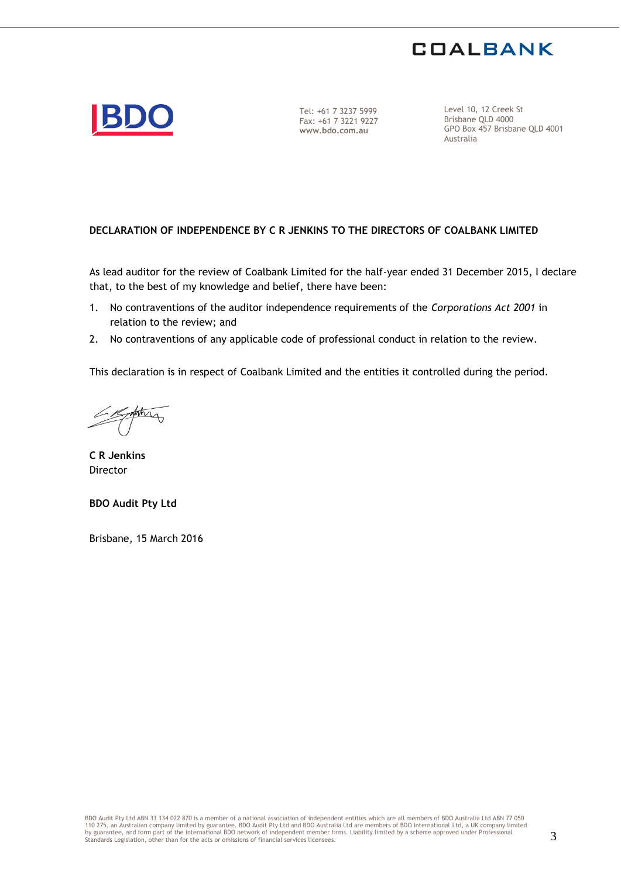



Tel: +61 7 3237 5999 Fax: +61 7 3221 9227 **www.bdo.com.au**

Level 10, 12 Creek St Brisbane QLD 4000 GPO Box 457 Brisbane QLD 4001 Australia

## **DECLARATION OF INDEPENDENCE BY C R JENKINS TO THE DIRECTORS OF COALBANK LIMITED**

As lead auditor for the review of Coalbank Limited for the half-year ended 31 December 2015, I declare that, to the best of my knowledge and belief, there have been:

- 1. No contraventions of the auditor independence requirements of the *Corporations Act 2001* in relation to the review; and
- 2. No contraventions of any applicable code of professional conduct in relation to the review.

This declaration is in respect of Coalbank Limited and the entities it controlled during the period.

forting

**C R Jenkins**  Director

**BDO Audit Pty Ltd** 

Brisbane, 15 March 2016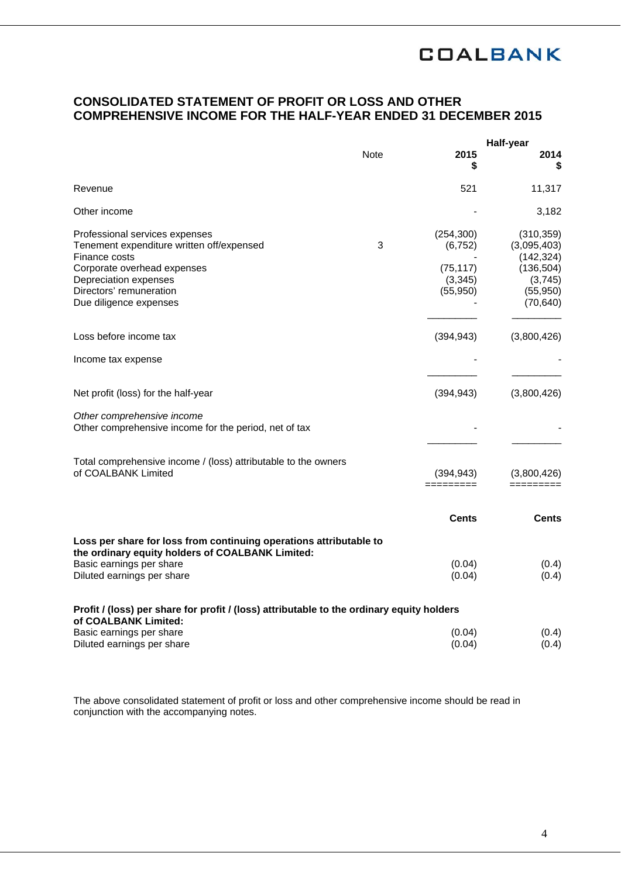# **CONSOLIDATED STATEMENT OF PROFIT OR LOSS AND OTHER COMPREHENSIVE INCOME FOR THE HALF-YEAR ENDED 31 DECEMBER 2015**

|                                                                                                                                                                                                           |             |                                                              | <b>Half-year</b>                                                                           |
|-----------------------------------------------------------------------------------------------------------------------------------------------------------------------------------------------------------|-------------|--------------------------------------------------------------|--------------------------------------------------------------------------------------------|
|                                                                                                                                                                                                           | <b>Note</b> | 2015<br>S                                                    | 2014<br>S                                                                                  |
| Revenue                                                                                                                                                                                                   |             | 521                                                          | 11,317                                                                                     |
| Other income                                                                                                                                                                                              |             |                                                              | 3,182                                                                                      |
| Professional services expenses<br>Tenement expenditure written off/expensed<br>Finance costs<br>Corporate overhead expenses<br>Depreciation expenses<br>Directors' remuneration<br>Due diligence expenses | 3           | (254, 300)<br>(6, 752)<br>(75, 117)<br>(3, 345)<br>(55, 950) | (310, 359)<br>(3,095,403)<br>(142, 324)<br>(136, 504)<br>(3,745)<br>(55, 950)<br>(70, 640) |
| Loss before income tax                                                                                                                                                                                    |             | (394, 943)                                                   | (3,800,426)                                                                                |
| Income tax expense                                                                                                                                                                                        |             |                                                              |                                                                                            |
| Net profit (loss) for the half-year                                                                                                                                                                       |             | (394, 943)                                                   | (3,800,426)                                                                                |
| Other comprehensive income<br>Other comprehensive income for the period, net of tax                                                                                                                       |             |                                                              |                                                                                            |
| Total comprehensive income / (loss) attributable to the owners<br>of COALBANK Limited                                                                                                                     |             | (394, 943)<br>=========                                      | (3,800,426)                                                                                |
|                                                                                                                                                                                                           |             | Cents                                                        | Cents                                                                                      |
| Loss per share for loss from continuing operations attributable to<br>the ordinary equity holders of COALBANK Limited:<br>Basic earnings per share<br>Diluted earnings per share                          |             | (0.04)<br>(0.04)                                             | (0.4)<br>(0.4)                                                                             |
| Profit / (loss) per share for profit / (loss) attributable to the ordinary equity holders<br>of COALBANK Limited:<br>Basic earnings per share                                                             |             | (0.04)                                                       | (0.4)                                                                                      |
| Diluted earnings per share                                                                                                                                                                                |             | (0.04)                                                       | (0.4)                                                                                      |

The above consolidated statement of profit or loss and other comprehensive income should be read in conjunction with the accompanying notes.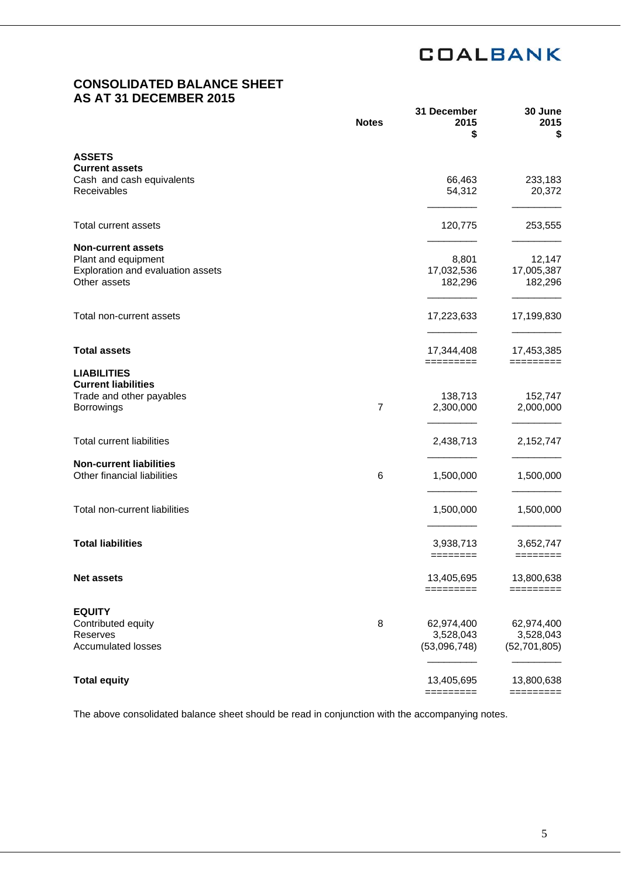# **CONSOLIDATED BALANCE SHEET AS AT 31 DECEMBER 2015**

|                                                                                                       | <b>Notes</b>   | 31 December<br>2015<br>\$               | 30 June<br>2015<br>\$                     |
|-------------------------------------------------------------------------------------------------------|----------------|-----------------------------------------|-------------------------------------------|
| <b>ASSETS</b>                                                                                         |                |                                         |                                           |
| <b>Current assets</b><br>Cash and cash equivalents<br>Receivables                                     |                | 66,463<br>54,312                        | 233,183<br>20,372                         |
| <b>Total current assets</b>                                                                           |                | 120,775                                 | 253,555                                   |
| <b>Non-current assets</b><br>Plant and equipment<br>Exploration and evaluation assets<br>Other assets |                | 8,801<br>17,032,536<br>182,296          | 12,147<br>17,005,387<br>182,296           |
| Total non-current assets                                                                              |                | 17,223,633                              | 17,199,830                                |
| <b>Total assets</b>                                                                                   |                | 17,344,408                              | 17,453,385                                |
| <b>LIABILITIES</b><br><b>Current liabilities</b><br>Trade and other payables<br>Borrowings            | $\overline{7}$ | =========<br>138,713<br>2,300,000       | =========<br>152,747<br>2,000,000         |
| <b>Total current liabilities</b>                                                                      |                | 2,438,713                               | 2,152,747                                 |
| <b>Non-current liabilities</b><br>Other financial liabilities                                         | 6              | 1,500,000                               | 1,500,000                                 |
| Total non-current liabilities                                                                         |                | 1,500,000                               | 1,500,000                                 |
| <b>Total liabilities</b>                                                                              |                | 3,938,713<br>========                   | 3,652,747<br>========                     |
| <b>Net assets</b>                                                                                     |                | 13,405,695<br>=========                 | 13,800,638<br>=========                   |
| <b>EQUITY</b><br>Contributed equity<br>Reserves<br><b>Accumulated losses</b>                          | 8              | 62,974,400<br>3,528,043<br>(53,096,748) | 62,974,400<br>3,528,043<br>(52, 701, 805) |
| <b>Total equity</b>                                                                                   |                | 13,405,695<br>=========                 | 13,800,638                                |
|                                                                                                       |                |                                         | =========                                 |

The above consolidated balance sheet should be read in conjunction with the accompanying notes.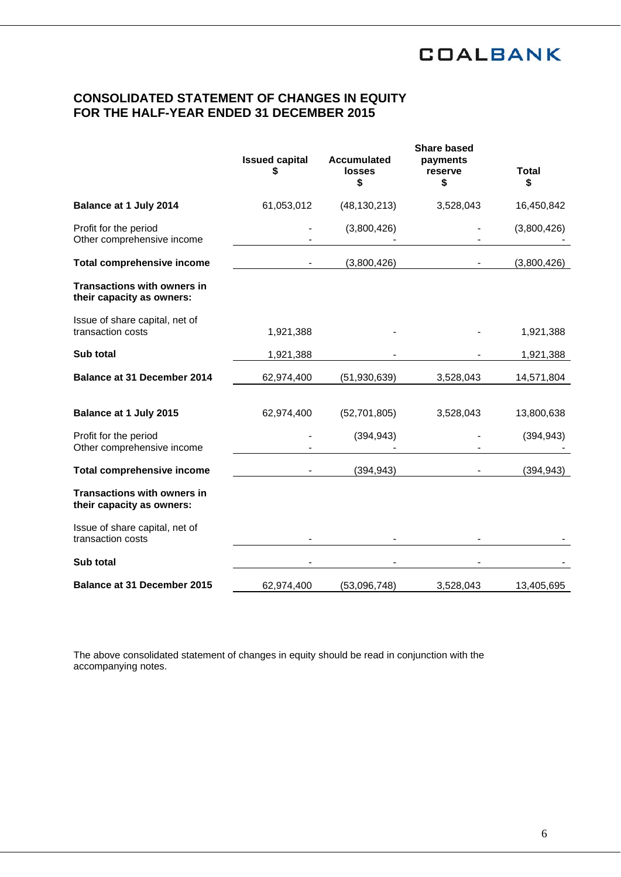# **CONSOLIDATED STATEMENT OF CHANGES IN EQUITY FOR THE HALF-YEAR ENDED 31 DECEMBER 2015**

|                                                                 | <b>Issued capital</b><br>S | <b>Accumulated</b><br><b>losses</b><br>\$ | <b>Share based</b><br>payments<br>reserve<br>\$ | <b>Total</b><br>\$ |
|-----------------------------------------------------------------|----------------------------|-------------------------------------------|-------------------------------------------------|--------------------|
| Balance at 1 July 2014                                          | 61,053,012                 | (48, 130, 213)                            | 3,528,043                                       | 16,450,842         |
| Profit for the period<br>Other comprehensive income             |                            | (3,800,426)                               |                                                 | (3,800,426)        |
| <b>Total comprehensive income</b>                               |                            | (3,800,426)                               |                                                 | (3,800,426)        |
| <b>Transactions with owners in</b><br>their capacity as owners: |                            |                                           |                                                 |                    |
| Issue of share capital, net of<br>transaction costs             | 1,921,388                  |                                           |                                                 | 1,921,388          |
| Sub total                                                       | 1,921,388                  |                                           |                                                 | 1,921,388          |
| <b>Balance at 31 December 2014</b>                              | 62,974,400                 | (51, 930, 639)                            | 3,528,043                                       | 14,571,804         |
| Balance at 1 July 2015                                          | 62,974,400                 | (52,701,805)                              | 3,528,043                                       | 13,800,638         |
| Profit for the period<br>Other comprehensive income             |                            | (394, 943)                                |                                                 | (394, 943)         |
| <b>Total comprehensive income</b>                               |                            | (394, 943)                                |                                                 | (394, 943)         |
| <b>Transactions with owners in</b><br>their capacity as owners: |                            |                                           |                                                 |                    |
| Issue of share capital, net of<br>transaction costs             |                            |                                           |                                                 |                    |
| Sub total                                                       |                            |                                           |                                                 |                    |
| <b>Balance at 31 December 2015</b>                              | 62,974,400                 | (53,096,748)                              | 3,528,043                                       | 13,405,695         |

The above consolidated statement of changes in equity should be read in conjunction with the accompanying notes.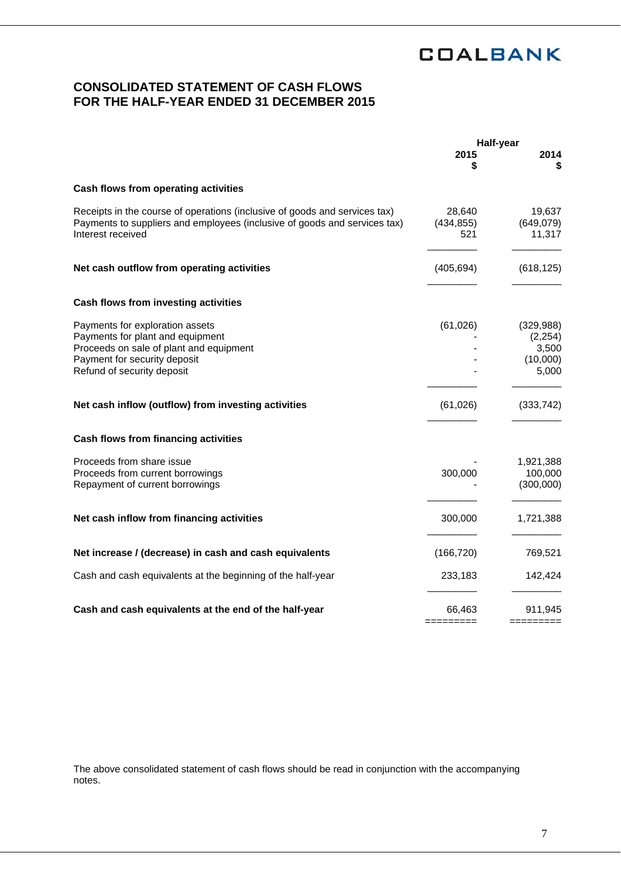# **CONSOLIDATED STATEMENT OF CASH FLOWS FOR THE HALF-YEAR ENDED 31 DECEMBER 2015**

|                                                                                                                                                                              | <b>Half-year</b>            |                                                      |
|------------------------------------------------------------------------------------------------------------------------------------------------------------------------------|-----------------------------|------------------------------------------------------|
|                                                                                                                                                                              | 2015<br>\$                  | 2014<br>S                                            |
| Cash flows from operating activities                                                                                                                                         |                             |                                                      |
| Receipts in the course of operations (inclusive of goods and services tax)<br>Payments to suppliers and employees (inclusive of goods and services tax)<br>Interest received | 28,640<br>(434, 855)<br>521 | 19,637<br>(649,079)<br>11,317                        |
| Net cash outflow from operating activities                                                                                                                                   | (405, 694)                  | (618, 125)                                           |
| Cash flows from investing activities                                                                                                                                         |                             |                                                      |
| Payments for exploration assets<br>Payments for plant and equipment<br>Proceeds on sale of plant and equipment<br>Payment for security deposit<br>Refund of security deposit | (61, 026)                   | (329, 988)<br>(2, 254)<br>3,500<br>(10,000)<br>5,000 |
| Net cash inflow (outflow) from investing activities                                                                                                                          | (61, 026)                   | (333, 742)                                           |
| Cash flows from financing activities                                                                                                                                         |                             |                                                      |
| Proceeds from share issue<br>Proceeds from current borrowings<br>Repayment of current borrowings                                                                             | 300,000                     | 1,921,388<br>100,000<br>(300,000)                    |
| Net cash inflow from financing activities                                                                                                                                    | 300,000                     | 1,721,388                                            |
| Net increase / (decrease) in cash and cash equivalents                                                                                                                       | (166, 720)                  | 769,521                                              |
| Cash and cash equivalents at the beginning of the half-year                                                                                                                  | 233,183                     | 142,424                                              |
| Cash and cash equivalents at the end of the half-year                                                                                                                        | 66,463                      | 911,945                                              |

The above consolidated statement of cash flows should be read in conjunction with the accompanying notes.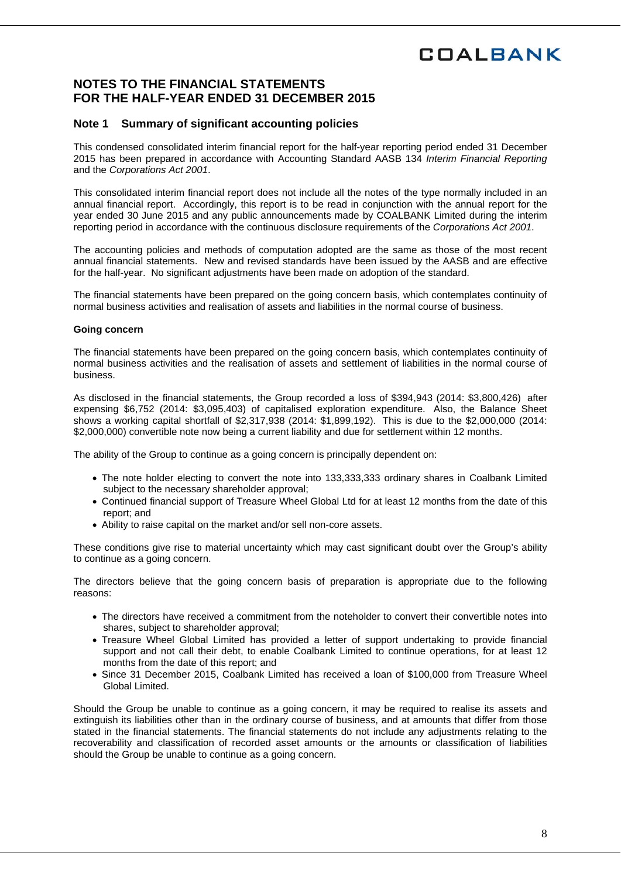# **NOTES TO THE FINANCIAL STATEMENTS FOR THE HALF-YEAR ENDED 31 DECEMBER 2015**

## **Note 1 Summary of significant accounting policies**

This condensed consolidated interim financial report for the half-year reporting period ended 31 December 2015 has been prepared in accordance with Accounting Standard AASB 134 *Interim Financial Reporting*  and the *Corporations Act 2001*.

This consolidated interim financial report does not include all the notes of the type normally included in an annual financial report. Accordingly, this report is to be read in conjunction with the annual report for the year ended 30 June 2015 and any public announcements made by COALBANK Limited during the interim reporting period in accordance with the continuous disclosure requirements of the *Corporations Act 2001*.

The accounting policies and methods of computation adopted are the same as those of the most recent annual financial statements. New and revised standards have been issued by the AASB and are effective for the half-year. No significant adjustments have been made on adoption of the standard.

The financial statements have been prepared on the going concern basis, which contemplates continuity of normal business activities and realisation of assets and liabilities in the normal course of business.

### **Going concern**

The financial statements have been prepared on the going concern basis, which contemplates continuity of normal business activities and the realisation of assets and settlement of liabilities in the normal course of business.

As disclosed in the financial statements, the Group recorded a loss of \$394,943 (2014: \$3,800,426) after expensing \$6,752 (2014: \$3,095,403) of capitalised exploration expenditure. Also, the Balance Sheet shows a working capital shortfall of \$2,317,938 (2014: \$1,899,192). This is due to the \$2,000,000 (2014: \$2,000,000) convertible note now being a current liability and due for settlement within 12 months.

The ability of the Group to continue as a going concern is principally dependent on:

- The note holder electing to convert the note into 133,333,333 ordinary shares in Coalbank Limited subject to the necessary shareholder approval;
- Continued financial support of Treasure Wheel Global Ltd for at least 12 months from the date of this report; and
- Ability to raise capital on the market and/or sell non-core assets.

These conditions give rise to material uncertainty which may cast significant doubt over the Group's ability to continue as a going concern.

The directors believe that the going concern basis of preparation is appropriate due to the following reasons:

- The directors have received a commitment from the noteholder to convert their convertible notes into shares, subject to shareholder approval;
- Treasure Wheel Global Limited has provided a letter of support undertaking to provide financial support and not call their debt, to enable Coalbank Limited to continue operations, for at least 12 months from the date of this report; and
- Since 31 December 2015, Coalbank Limited has received a loan of \$100,000 from Treasure Wheel Global Limited.

Should the Group be unable to continue as a going concern, it may be required to realise its assets and extinguish its liabilities other than in the ordinary course of business, and at amounts that differ from those stated in the financial statements. The financial statements do not include any adjustments relating to the recoverability and classification of recorded asset amounts or the amounts or classification of liabilities should the Group be unable to continue as a going concern.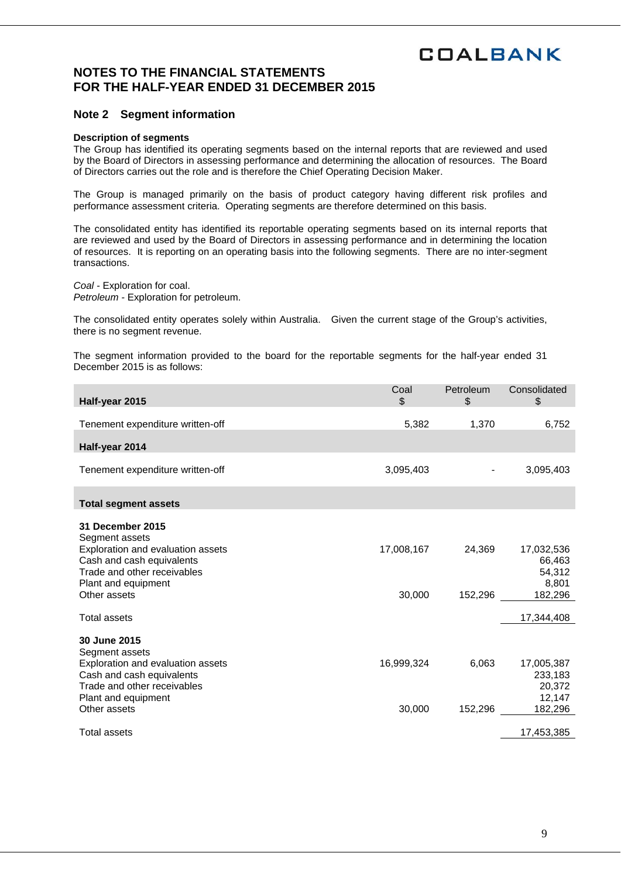# **NOTES TO THE FINANCIAL STATEMENTS FOR THE HALF-YEAR ENDED 31 DECEMBER 2015**

## **Note 2 Segment information**

### **Description of segments**

The Group has identified its operating segments based on the internal reports that are reviewed and used by the Board of Directors in assessing performance and determining the allocation of resources. The Board of Directors carries out the role and is therefore the Chief Operating Decision Maker.

The Group is managed primarily on the basis of product category having different risk profiles and performance assessment criteria. Operating segments are therefore determined on this basis.

The consolidated entity has identified its reportable operating segments based on its internal reports that are reviewed and used by the Board of Directors in assessing performance and in determining the location of resources. It is reporting on an operating basis into the following segments. There are no inter-segment transactions.

*Coal -* Exploration for coal. *Petroleum -* Exploration for petroleum.

The consolidated entity operates solely within Australia. Given the current stage of the Group's activities, there is no segment revenue.

The segment information provided to the board for the reportable segments for the half-year ended 31 December 2015 is as follows:

| Half-year 2015                                                                                | Coal<br>\$ | Petroleum<br>\$ | Consolidated<br>\$             |
|-----------------------------------------------------------------------------------------------|------------|-----------------|--------------------------------|
| Tenement expenditure written-off                                                              | 5,382      | 1,370           | 6,752                          |
| Half-year 2014                                                                                |            |                 |                                |
| Tenement expenditure written-off                                                              | 3,095,403  |                 | 3,095,403                      |
| <b>Total segment assets</b>                                                                   |            |                 |                                |
| 31 December 2015<br>Segment assets                                                            |            |                 |                                |
| Exploration and evaluation assets<br>Cash and cash equivalents<br>Trade and other receivables | 17,008,167 | 24,369          | 17,032,536<br>66,463<br>54,312 |
| Plant and equipment<br>Other assets                                                           | 30,000     | 152,296         | 8,801<br>182,296               |
| Total assets                                                                                  |            |                 | 17,344,408                     |
| 30 June 2015<br>Segment assets                                                                |            |                 |                                |
| Exploration and evaluation assets<br>Cash and cash equivalents                                | 16,999,324 | 6,063           | 17,005,387<br>233,183          |
| Trade and other receivables<br>Plant and equipment                                            |            |                 | 20,372<br>12,147               |
| Other assets                                                                                  | 30,000     | 152,296         | 182,296                        |
| Total assets                                                                                  |            |                 | 17,453,385                     |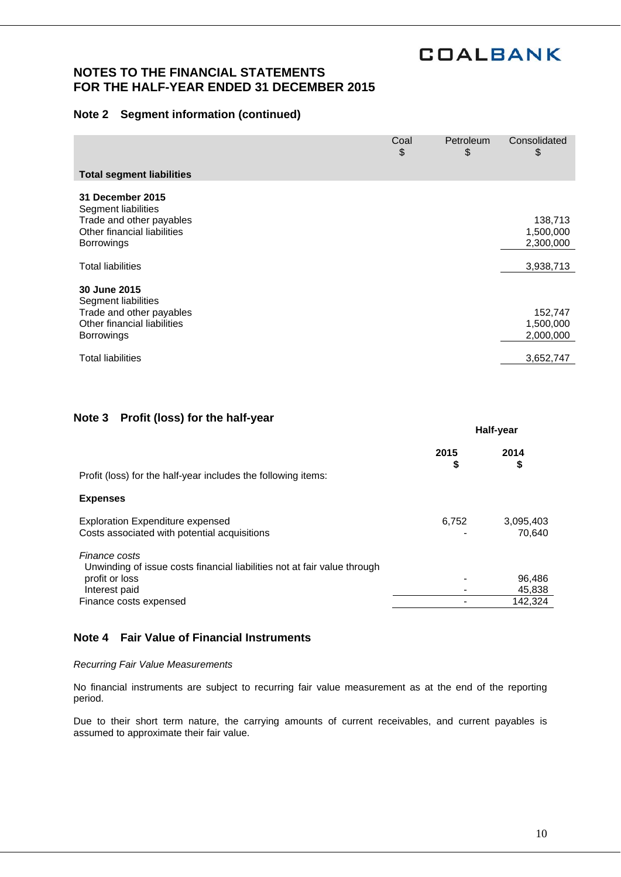## **NOTES TO THE FINANCIAL STATEMENTS FOR THE HALF-YEAR ENDED 31 DECEMBER 2015**

## **Note 2 Segment information (continued)**

|                                                         | Coal<br>\$ | Petroleum<br>\$ | Consolidated<br>\$     |
|---------------------------------------------------------|------------|-----------------|------------------------|
| <b>Total segment liabilities</b>                        |            |                 |                        |
| 31 December 2015<br>Segment liabilities                 |            |                 |                        |
| Trade and other payables<br>Other financial liabilities |            |                 | 138,713<br>1,500,000   |
| <b>Borrowings</b>                                       |            |                 | 2,300,000              |
| <b>Total liabilities</b>                                |            |                 | 3,938,713              |
| 30 June 2015<br>Segment liabilities                     |            |                 |                        |
| Trade and other payables                                |            |                 | 152,747                |
| Other financial liabilities<br><b>Borrowings</b>        |            |                 | 1,500,000<br>2,000,000 |
|                                                         |            |                 |                        |
| Total liabilities                                       |            |                 | 3,652,747              |

## **Note 3 Profit (loss) for the half-year**

|                                                                                           | Half-year  |                     |
|-------------------------------------------------------------------------------------------|------------|---------------------|
| Profit (loss) for the half-year includes the following items:                             | 2015<br>\$ | 2014<br>\$          |
| <b>Expenses</b>                                                                           |            |                     |
| <b>Exploration Expenditure expensed</b><br>Costs associated with potential acquisitions   | 6,752      | 3,095,403<br>70.640 |
| Finance costs<br>Unwinding of issue costs financial liabilities not at fair value through |            |                     |
| profit or loss                                                                            |            | 96,486              |
| Interest paid                                                                             |            | 45,838              |
| Finance costs expensed                                                                    |            | 142.324             |

## **Note 4 Fair Value of Financial Instruments**

### *Recurring Fair Value Measurements*

No financial instruments are subject to recurring fair value measurement as at the end of the reporting period.

Due to their short term nature, the carrying amounts of current receivables, and current payables is assumed to approximate their fair value.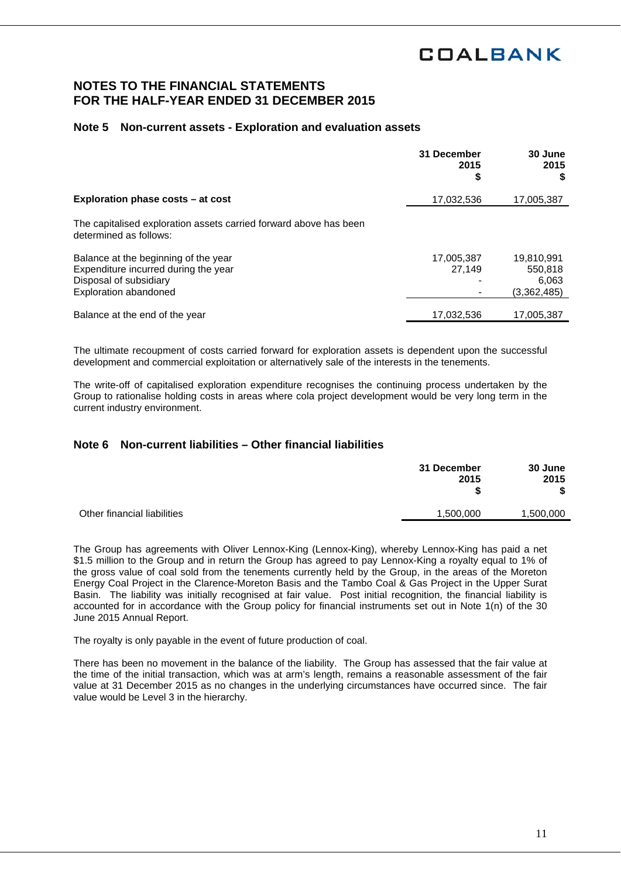## **NOTES TO THE FINANCIAL STATEMENTS FOR THE HALF-YEAR ENDED 31 DECEMBER 2015**

## **Note 5 Non-current assets - Exploration and evaluation assets**

|                                                                                             | 31 December<br>2015 | 30 June<br>2015<br>S |
|---------------------------------------------------------------------------------------------|---------------------|----------------------|
| Exploration phase costs – at cost                                                           | 17,032,536          | 17,005,387           |
| The capitalised exploration assets carried forward above has been<br>determined as follows: |                     |                      |
| Balance at the beginning of the year                                                        | 17,005,387          | 19,810,991           |
| Expenditure incurred during the year                                                        | 27.149              | 550,818              |
| Disposal of subsidiary                                                                      |                     | 6.063                |
| Exploration abandoned                                                                       |                     | (3,362,485)          |
| Balance at the end of the year                                                              | 17.032.536          | 17,005,387           |

The ultimate recoupment of costs carried forward for exploration assets is dependent upon the successful development and commercial exploitation or alternatively sale of the interests in the tenements.

The write-off of capitalised exploration expenditure recognises the continuing process undertaken by the Group to rationalise holding costs in areas where cola project development would be very long term in the current industry environment.

## **Note 6 Non-current liabilities – Other financial liabilities**

|                                                       | 30 June<br>2015<br>\$ |
|-------------------------------------------------------|-----------------------|
| Other financial liabilities<br>1,500,000<br>1,500,000 |                       |

The Group has agreements with Oliver Lennox-King (Lennox-King), whereby Lennox-King has paid a net \$1.5 million to the Group and in return the Group has agreed to pay Lennox-King a royalty equal to 1% of the gross value of coal sold from the tenements currently held by the Group, in the areas of the Moreton Energy Coal Project in the Clarence-Moreton Basis and the Tambo Coal & Gas Project in the Upper Surat Basin. The liability was initially recognised at fair value. Post initial recognition, the financial liability is accounted for in accordance with the Group policy for financial instruments set out in Note 1(n) of the 30 June 2015 Annual Report.

The royalty is only payable in the event of future production of coal.

There has been no movement in the balance of the liability. The Group has assessed that the fair value at the time of the initial transaction, which was at arm's length, remains a reasonable assessment of the fair value at 31 December 2015 as no changes in the underlying circumstances have occurred since. The fair value would be Level 3 in the hierarchy.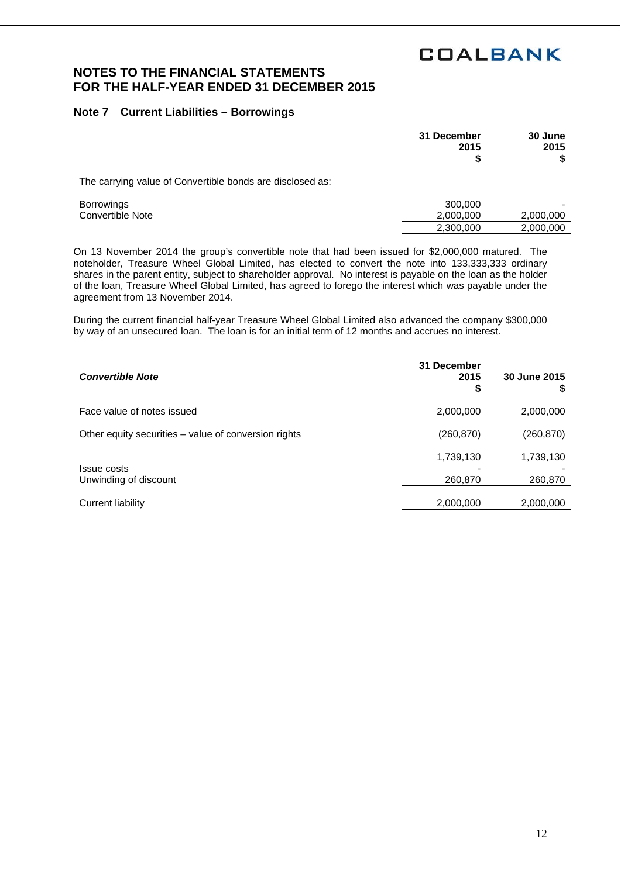# **NOTES TO THE FINANCIAL STATEMENTS FOR THE HALF-YEAR ENDED 31 DECEMBER 2015**

## **Note 7 Current Liabilities – Borrowings**

|                                                           | 31 December<br>2015<br>\$ | 30 June<br>2015 |
|-----------------------------------------------------------|---------------------------|-----------------|
| The carrying value of Convertible bonds are disclosed as: |                           |                 |
| <b>Borrowings</b><br>Convertible Note                     | 300,000<br>2,000,000      | 2,000,000       |
|                                                           | 2,300,000                 | 2,000,000       |

On 13 November 2014 the group's convertible note that had been issued for \$2,000,000 matured. The noteholder, Treasure Wheel Global Limited, has elected to convert the note into 133,333,333 ordinary shares in the parent entity, subject to shareholder approval. No interest is payable on the loan as the holder of the loan, Treasure Wheel Global Limited, has agreed to forego the interest which was payable under the agreement from 13 November 2014.

During the current financial half-year Treasure Wheel Global Limited also advanced the company \$300,000 by way of an unsecured loan. The loan is for an initial term of 12 months and accrues no interest.

| <b>Convertible Note</b>                              | 31 December<br>2015<br>\$ | 30 June 2015 |
|------------------------------------------------------|---------------------------|--------------|
| Face value of notes issued                           | 2,000,000                 | 2,000,000    |
| Other equity securities – value of conversion rights | (260, 870)                | (260,870)    |
| <b>Issue costs</b>                                   | 1,739,130                 | 1,739,130    |
| Unwinding of discount                                | 260,870                   | 260,870      |
| Current liability                                    | 2,000,000                 | 2,000,000    |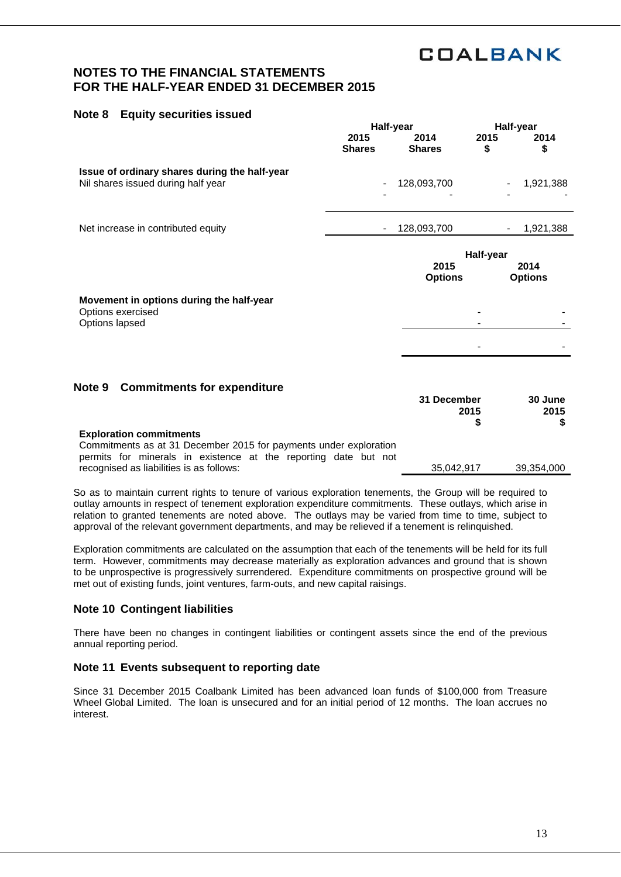# **NOTES TO THE FINANCIAL STATEMENTS FOR THE HALF-YEAR ENDED 31 DECEMBER 2015**

### **Note 8 Equity securities issued**

|                                                                                     | Half-year                |                                                               | Half-year  |            |
|-------------------------------------------------------------------------------------|--------------------------|---------------------------------------------------------------|------------|------------|
|                                                                                     | 2015<br><b>Shares</b>    | 2014<br><b>Shares</b>                                         | 2015<br>\$ | 2014<br>\$ |
| Issue of ordinary shares during the half-year<br>Nil shares issued during half year | $\overline{\phantom{a}}$ | 128,093,700                                                   |            | 1,921,388  |
| Net increase in contributed equity                                                  | $\overline{\phantom{a}}$ | 128,093,700                                                   |            | 1,921,388  |
|                                                                                     |                          | Half-year<br>2015<br>2014<br><b>Options</b><br><b>Options</b> |            |            |
| Movement in options during the half-year<br>Options exercised<br>Options lapsed     |                          |                                                               |            |            |
| Note 9<br><b>Commitments for expenditure</b>                                        |                          |                                                               |            |            |

#### **31 December 30 June 2015 \$ 2015 \$ Exploration commitments**  Commitments as at 31 December 2015 for payments under exploration permits for minerals in existence at the reporting date but not recognised as liabilities is as follows: 35,042,917 39,354,000

So as to maintain current rights to tenure of various exploration tenements, the Group will be required to outlay amounts in respect of tenement exploration expenditure commitments. These outlays, which arise in relation to granted tenements are noted above. The outlays may be varied from time to time, subject to approval of the relevant government departments, and may be relieved if a tenement is relinquished.

Exploration commitments are calculated on the assumption that each of the tenements will be held for its full term. However, commitments may decrease materially as exploration advances and ground that is shown to be unprospective is progressively surrendered. Expenditure commitments on prospective ground will be met out of existing funds, joint ventures, farm-outs, and new capital raisings.

## **Note 10 Contingent liabilities**

There have been no changes in contingent liabilities or contingent assets since the end of the previous annual reporting period.

## **Note 11 Events subsequent to reporting date**

Since 31 December 2015 Coalbank Limited has been advanced loan funds of \$100,000 from Treasure Wheel Global Limited. The loan is unsecured and for an initial period of 12 months. The loan accrues no interest.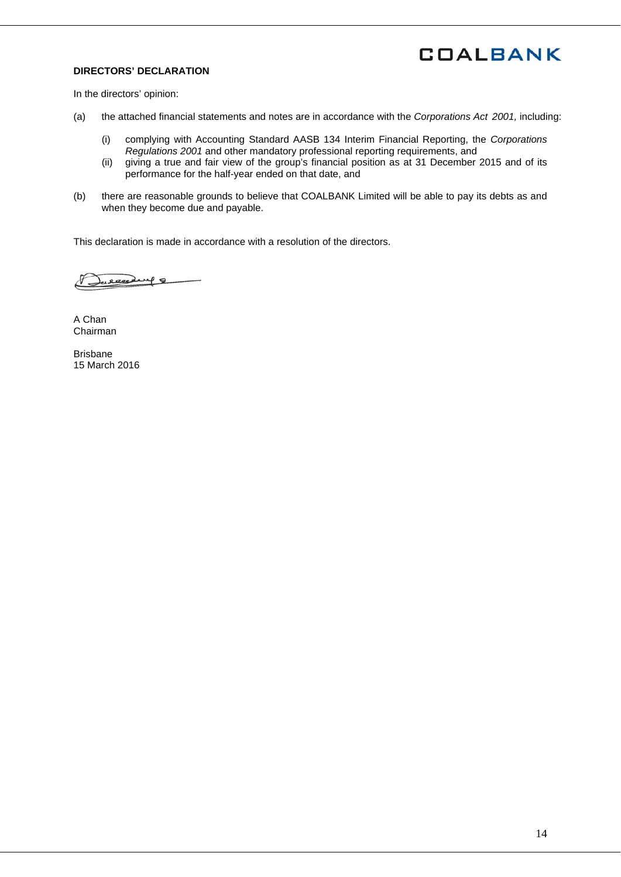## **DIRECTORS' DECLARATION**

In the directors' opinion:

- (a) the attached financial statements and notes are in accordance with the *Corporations Act 2001,* including:
	- (i) complying with Accounting Standard AASB 134 Interim Financial Reporting, the *Corporations Regulations 2001* and other mandatory professional reporting requirements, and
	- (ii) giving a true and fair view of the group's financial position as at 31 December 2015 and of its performance for the half-year ended on that date, and
- (b) there are reasonable grounds to believe that COALBANK Limited will be able to pay its debts as and when they become due and payable.

This declaration is made in accordance with a resolution of the directors.

celesting 8

A Chan Chairman

Brisbane 15 March 2016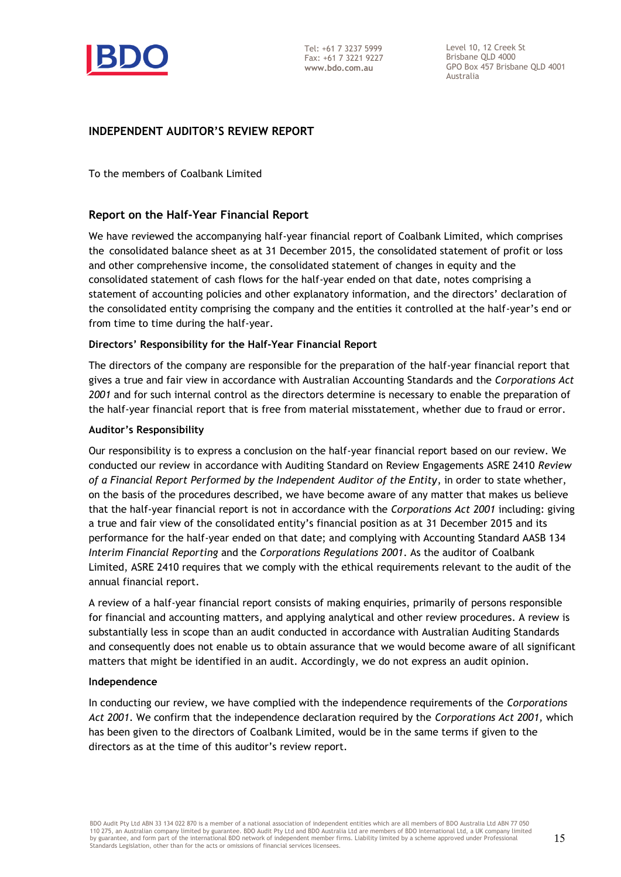

Level 10, 12 Creek St Brisbane QLD 4000 GPO Box 457 Brisbane QLD 4001 Australia

## **INDEPENDENT AUDITOR'S REVIEW REPORT**

To the members of Coalbank Limited

## **Report on the Half-Year Financial Report**

We have reviewed the accompanying half-year financial report of Coalbank Limited, which comprises the consolidated balance sheet as at 31 December 2015, the consolidated statement of profit or loss and other comprehensive income, the consolidated statement of changes in equity and the consolidated statement of cash flows for the half-year ended on that date, notes comprising a statement of accounting policies and other explanatory information, and the directors' declaration of the consolidated entity comprising the company and the entities it controlled at the half-year's end or from time to time during the half-year.

### **Directors' Responsibility for the Half-Year Financial Report**

The directors of the company are responsible for the preparation of the half-year financial report that gives a true and fair view in accordance with Australian Accounting Standards and the *Corporations Act 2001* and for such internal control as the directors determine is necessary to enable the preparation of the half-year financial report that is free from material misstatement, whether due to fraud or error.

### **Auditor's Responsibility**

Our responsibility is to express a conclusion on the half-year financial report based on our review. We conducted our review in accordance with Auditing Standard on Review Engagements ASRE 2410 *Review of a Financial Report Performed by the Independent Auditor of the Entity*, in order to state whether, on the basis of the procedures described, we have become aware of any matter that makes us believe that the half-year financial report is not in accordance with the *Corporations Act 2001* including: giving a true and fair view of the consolidated entity's financial position as at 31 December 2015 and its performance for the half-year ended on that date; and complying with Accounting Standard AASB 134 *Interim Financial Reporting* and the *Corporations Regulations 2001*. As the auditor of Coalbank Limited, ASRE 2410 requires that we comply with the ethical requirements relevant to the audit of the annual financial report.

A review of a half-year financial report consists of making enquiries, primarily of persons responsible for financial and accounting matters, and applying analytical and other review procedures. A review is substantially less in scope than an audit conducted in accordance with Australian Auditing Standards and consequently does not enable us to obtain assurance that we would become aware of all significant matters that might be identified in an audit. Accordingly, we do not express an audit opinion.

### **Independence**

In conducting our review, we have complied with the independence requirements of the *Corporations Act 2001*. We confirm that the independence declaration required by the *Corporations Act 2001,* which has been given to the directors of Coalbank Limited, would be in the same terms if given to the directors as at the time of this auditor's review report.